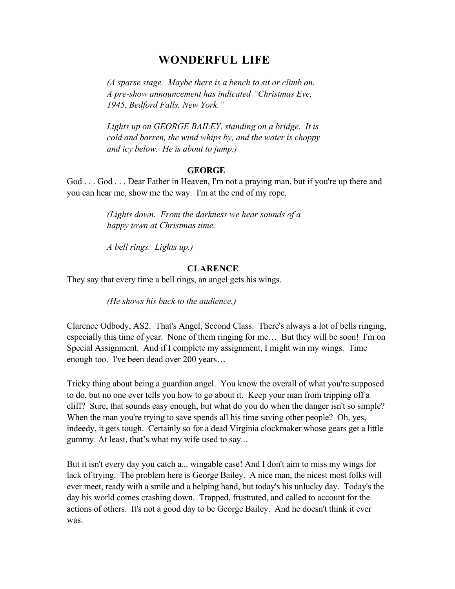# **WONDERFUL LIFE**

*(A sparse stage. Maybe there is a bench to sit or climb on. A pre-show announcement has indicated "Christmas Eve, 1945. Bedford Falls, New York."*

*Lights up on GEORGE BAILEY, standing on a bridge. It is cold and barren, the wind whips by, and the water is choppy and icy below. He is about to jump.)*

# **GEORGE**

God . . . God . . . Dear Father in Heaven, I'm not a praying man, but if you're up there and you can hear me, show me the way. I'm at the end of my rope.

> *(Lights down. From the darkness we hear sounds of a happy town at Christmas time.*

*A bell rings. Lights up.)*

# **CLARENCE**

They say that every time a bell rings, an angel gets his wings.

*(He shows his back to the audience.)*

Clarence Odbody, AS2. That's Angel, Second Class. There's always a lot of bells ringing, especially this time of year. None of them ringing for me… But they will be soon! I'm on Special Assignment. And if I complete my assignment, I might win my wings. Time enough too. I've been dead over 200 years…

Tricky thing about being a guardian angel. You know the overall of what you're supposed to do, but no one ever tells you how to go about it. Keep your man from tripping off a cliff? Sure, that sounds easy enough, but what do you do when the danger isn't so simple? When the man you're trying to save spends all his time saving other people? Oh, yes, indeedy, it gets tough. Certainly so for a dead Virginia clockmaker whose gears get a little gummy. At least, that's what my wife used to say...

But it isn't every day you catch a... wingable case! And I don't aim to miss my wings for lack of trying. The problem here is George Bailey. A nice man, the nicest most folks will ever meet, ready with a smile and a helping hand, but today's his unlucky day. Today's the day his world comes crashing down. Trapped, frustrated, and called to account for the actions of others. It's not a good day to be George Bailey. And he doesn't think it ever was.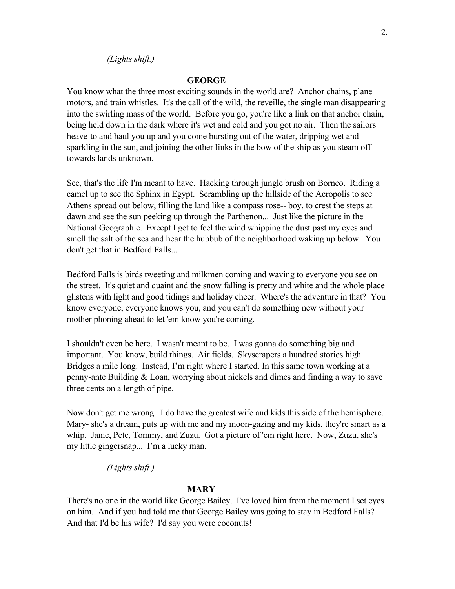# **GEORGE**

You know what the three most exciting sounds in the world are? Anchor chains, plane motors, and train whistles. It's the call of the wild, the reveille, the single man disappearing into the swirling mass of the world. Before you go, you're like a link on that anchor chain, being held down in the dark where it's wet and cold and you got no air. Then the sailors heave-to and haul you up and you come bursting out of the water, dripping wet and sparkling in the sun, and joining the other links in the bow of the ship as you steam off towards lands unknown.

See, that's the life I'm meant to have. Hacking through jungle brush on Borneo. Riding a camel up to see the Sphinx in Egypt. Scrambling up the hillside of the Acropolis to see Athens spread out below, filling the land like a compass rose-- boy, to crest the steps at dawn and see the sun peeking up through the Parthenon... Just like the picture in the National Geographic. Except I get to feel the wind whipping the dust past my eyes and smell the salt of the sea and hear the hubbub of the neighborhood waking up below. You don't get that in Bedford Falls...

Bedford Falls is birds tweeting and milkmen coming and waving to everyone you see on the street. It's quiet and quaint and the snow falling is pretty and white and the whole place glistens with light and good tidings and holiday cheer. Where's the adventure in that? You know everyone, everyone knows you, and you can't do something new without your mother phoning ahead to let 'em know you're coming.

I shouldn't even be here. I wasn't meant to be. I was gonna do something big and important. You know, build things. Air fields. Skyscrapers a hundred stories high. Bridges a mile long. Instead, I'm right where I started. In this same town working at a penny-ante Building & Loan, worrying about nickels and dimes and finding a way to save three cents on a length of pipe.

Now don't get me wrong. I do have the greatest wife and kids this side of the hemisphere. Mary- she's a dream, puts up with me and my moon-gazing and my kids, they're smart as a whip. Janie, Pete, Tommy, and Zuzu. Got a picture of 'em right here. Now, Zuzu, she's my little gingersnap... I'm a lucky man.

# *(Lights shift.)*

# **MARY**

There's no one in the world like George Bailey. I've loved him from the moment I set eyes on him. And if you had told me that George Bailey was going to stay in Bedford Falls? And that I'd be his wife? I'd say you were coconuts!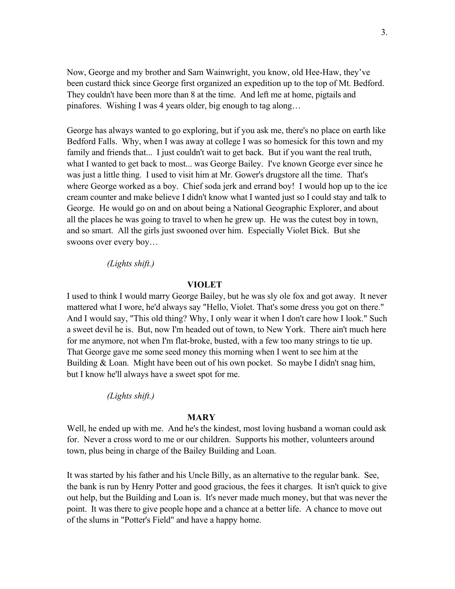Now, George and my brother and Sam Wainwright, you know, old Hee-Haw, they've been custard thick since George first organized an expedition up to the top of Mt. Bedford. They couldn't have been more than 8 at the time. And left me at home, pigtails and pinafores. Wishing I was 4 years older, big enough to tag along…

George has always wanted to go exploring, but if you ask me, there's no place on earth like Bedford Falls. Why, when I was away at college I was so homesick for this town and my family and friends that... I just couldn't wait to get back. But if you want the real truth, what I wanted to get back to most... was George Bailey. I've known George ever since he was just a little thing. I used to visit him at Mr. Gower's drugstore all the time. That's where George worked as a boy. Chief soda jerk and errand boy! I would hop up to the ice cream counter and make believe I didn't know what I wanted just so I could stay and talk to George. He would go on and on about being a National Geographic Explorer, and about all the places he was going to travel to when he grew up. He was the cutest boy in town, and so smart. All the girls just swooned over him. Especially Violet Bick. But she swoons over every boy…

*(Lights shift.)*

#### **VIOLET**

I used to think I would marry George Bailey, but he was sly ole fox and got away. It never mattered what I wore, he'd always say "Hello, Violet. That's some dress you got on there." And I would say, "This old thing? Why, I only wear it when I don't care how I look." Such a sweet devil he is. But, now I'm headed out of town, to New York. There ain't much here for me anymore, not when I'm flat-broke, busted, with a few too many strings to tie up. That George gave me some seed money this morning when I went to see him at the Building & Loan. Might have been out of his own pocket. So maybe I didn't snag him, but I know he'll always have a sweet spot for me.

*(Lights shift.)*

#### **MARY**

Well, he ended up with me. And he's the kindest, most loving husband a woman could ask for. Never a cross word to me or our children. Supports his mother, volunteers around town, plus being in charge of the Bailey Building and Loan.

It was started by his father and his Uncle Billy, as an alternative to the regular bank. See, the bank is run by Henry Potter and good gracious, the fees it charges. It isn't quick to give out help, but the Building and Loan is. It's never made much money, but that was never the point. It was there to give people hope and a chance at a better life. A chance to move out of the slums in "Potter's Field" and have a happy home.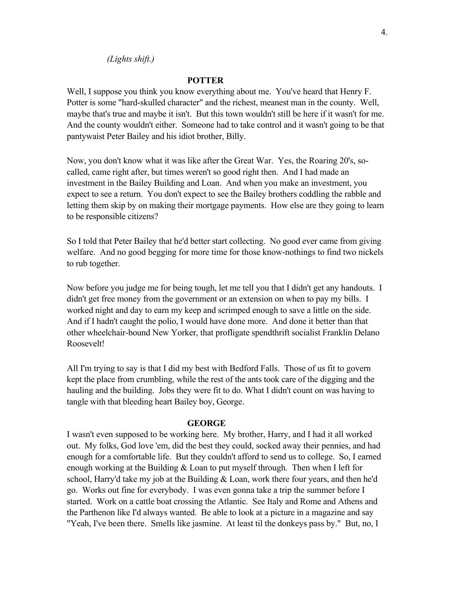*(Lights shift.)*

# **POTTER**

Well, I suppose you think you know everything about me. You've heard that Henry F. Potter is some "hard-skulled character" and the richest, meanest man in the county. Well, maybe that's true and maybe it isn't. But this town wouldn't still be here if it wasn't for me. And the county wouldn't either. Someone had to take control and it wasn't going to be that pantywaist Peter Bailey and his idiot brother, Billy.

Now, you don't know what it was like after the Great War. Yes, the Roaring 20's, socalled, came right after, but times weren't so good right then. And I had made an investment in the Bailey Building and Loan. And when you make an investment, you expect to see a return. You don't expect to see the Bailey brothers coddling the rabble and letting them skip by on making their mortgage payments. How else are they going to learn to be responsible citizens?

So I told that Peter Bailey that he'd better start collecting. No good ever came from giving welfare. And no good begging for more time for those know-nothings to find two nickels to rub together.

Now before you judge me for being tough, let me tell you that I didn't get any handouts. I didn't get free money from the government or an extension on when to pay my bills. I worked night and day to earn my keep and scrimped enough to save a little on the side. And if I hadn't caught the polio, I would have done more. And done it better than that other wheelchair-bound New Yorker, that profligate spendthrift socialist Franklin Delano Roosevelt!

All I'm trying to say is that I did my best with Bedford Falls. Those of us fit to govern kept the place from crumbling, while the rest of the ants took care of the digging and the hauling and the building. Jobs they were fit to do. What I didn't count on was having to tangle with that bleeding heart Bailey boy, George.

#### **GEORGE**

I wasn't even supposed to be working here. My brother, Harry, and I had it all worked out. My folks, God love 'em, did the best they could, socked away their pennies, and had enough for a comfortable life. But they couldn't afford to send us to college. So, I earned enough working at the Building  $&$  Loan to put myself through. Then when I left for school, Harry'd take my job at the Building & Loan, work there four years, and then he'd go. Works out fine for everybody. I was even gonna take a trip the summer before I started. Work on a cattle boat crossing the Atlantic. See Italy and Rome and Athens and the Parthenon like I'd always wanted. Be able to look at a picture in a magazine and say "Yeah, I've been there. Smells like jasmine. At least til the donkeys pass by." But, no, I